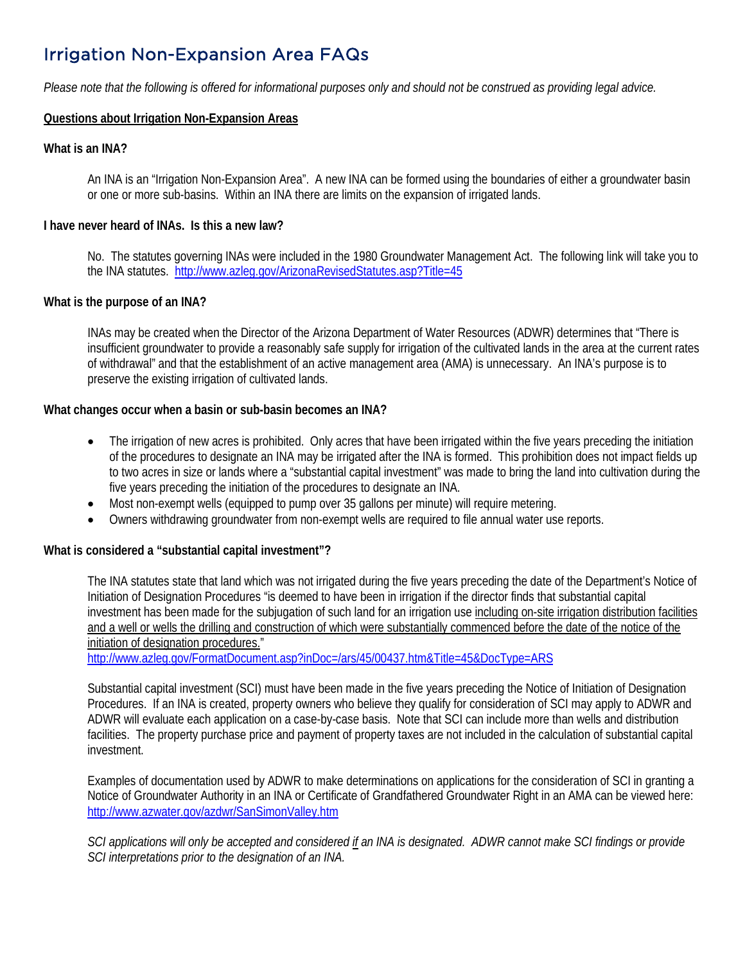# Irrigation Non-Expansion Area FAQs

*Please note that the following is offered for informational purposes only and should not be construed as providing legal advice.* 

#### **Questions about Irrigation Non-Expansion Areas**

#### **What is an INA?**

An INA is an "Irrigation Non-Expansion Area". A new INA can be formed using the boundaries of either a groundwater basin or one or more sub-basins. Within an INA there are limits on the expansion of irrigated lands.

#### **I have never heard of INAs. Is this a new law?**

No. The statutes governing INAs were included in the 1980 Groundwater Management Act. The following link will take you to the INA statutes.<http://www.azleg.gov/ArizonaRevisedStatutes.asp?Title=45>

#### **What is the purpose of an INA?**

INAs may be created when the Director of the Arizona Department of Water Resources (ADWR) determines that "There is insufficient groundwater to provide a reasonably safe supply for irrigation of the cultivated lands in the area at the current rates of withdrawal" and that the establishment of an active management area (AMA) is unnecessary. An INA's purpose is to preserve the existing irrigation of cultivated lands.

#### **What changes occur when a basin or sub-basin becomes an INA?**

- The irrigation of new acres is prohibited. Only acres that have been irrigated within the five years preceding the initiation of the procedures to designate an INA may be irrigated after the INA is formed. This prohibition does not impact fields up to two acres in size or lands where a "substantial capital investment" was made to bring the land into cultivation during the five years preceding the initiation of the procedures to designate an INA.
- Most non-exempt wells (equipped to pump over 35 gallons per minute) will require metering.
- Owners withdrawing groundwater from non-exempt wells are required to file annual water use reports.

#### **What is considered a "substantial capital investment"?**

The INA statutes state that land which was not irrigated during the five years preceding the date of the Department's Notice of Initiation of Designation Procedures "is deemed to have been in irrigation if the director finds that substantial capital investment has been made for the subjugation of such land for an irrigation use including on-site irrigation distribution facilities and a well or wells the drilling and construction of which were substantially commenced before the date of the notice of the initiation of designation procedures."

<http://www.azleg.gov/FormatDocument.asp?inDoc=/ars/45/00437.htm&Title=45&DocType=ARS>

Substantial capital investment (SCI) must have been made in the five years preceding the Notice of Initiation of Designation Procedures. If an INA is created, property owners who believe they qualify for consideration of SCI may apply to ADWR and ADWR will evaluate each application on a case-by-case basis. Note that SCI can include more than wells and distribution facilities. The property purchase price and payment of property taxes are not included in the calculation of substantial capital investment.

Examples of documentation used by ADWR to make determinations on applications for the consideration of SCI in granting a Notice of Groundwater Authority in an INA or Certificate of Grandfathered Groundwater Right in an AMA can be viewed here: <http://www.azwater.gov/azdwr/SanSimonValley.htm>

*SCI applications will only be accepted and considered if an INA is designated. ADWR cannot make SCI findings or provide SCI interpretations prior to the designation of an INA.*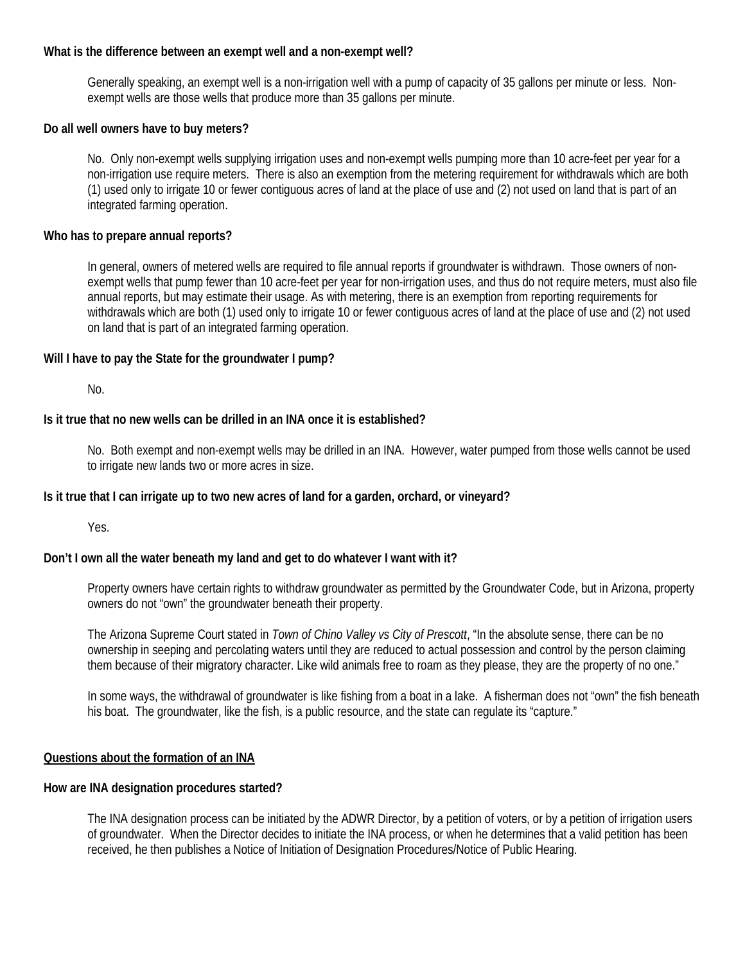#### **What is the difference between an exempt well and a non-exempt well?**

Generally speaking, an exempt well is a non-irrigation well with a pump of capacity of 35 gallons per minute or less. Nonexempt wells are those wells that produce more than 35 gallons per minute.

#### **Do all well owners have to buy meters?**

No. Only non-exempt wells supplying irrigation uses and non-exempt wells pumping more than 10 acre-feet per year for a non-irrigation use require meters. There is also an exemption from the metering requirement for withdrawals which are both (1) used only to irrigate 10 or fewer contiguous acres of land at the place of use and (2) not used on land that is part of an integrated farming operation.

#### **Who has to prepare annual reports?**

In general, owners of metered wells are required to file annual reports if groundwater is withdrawn. Those owners of nonexempt wells that pump fewer than 10 acre-feet per year for non-irrigation uses, and thus do not require meters, must also file annual reports, but may estimate their usage. As with metering, there is an exemption from reporting requirements for withdrawals which are both (1) used only to irrigate 10 or fewer contiguous acres of land at the place of use and (2) not used on land that is part of an integrated farming operation.

#### **Will I have to pay the State for the groundwater I pump?**

No.

#### **Is it true that no new wells can be drilled in an INA once it is established?**

No. Both exempt and non-exempt wells may be drilled in an INA. However, water pumped from those wells cannot be used to irrigate new lands two or more acres in size.

#### **Is it true that I can irrigate up to two new acres of land for a garden, orchard, or vineyard?**

Yes.

#### **Don't I own all the water beneath my land and get to do whatever I want with it?**

Property owners have certain rights to withdraw groundwater as permitted by the Groundwater Code, but in Arizona, property owners do not "own" the groundwater beneath their property.

The Arizona Supreme Court stated in *Town of Chino Valley vs City of Prescott*, "In the absolute sense, there can be no ownership in seeping and percolating waters until they are reduced to actual possession and control by the person claiming them because of their migratory character. Like wild animals free to roam as they please, they are the property of no one."

In some ways, the withdrawal of groundwater is like fishing from a boat in a lake. A fisherman does not "own" the fish beneath his boat. The groundwater, like the fish, is a public resource, and the state can regulate its "capture."

#### **Questions about the formation of an INA**

#### **How are INA designation procedures started?**

The INA designation process can be initiated by the ADWR Director, by a petition of voters, or by a petition of irrigation users of groundwater. When the Director decides to initiate the INA process, or when he determines that a valid petition has been received, he then publishes a Notice of Initiation of Designation Procedures/Notice of Public Hearing.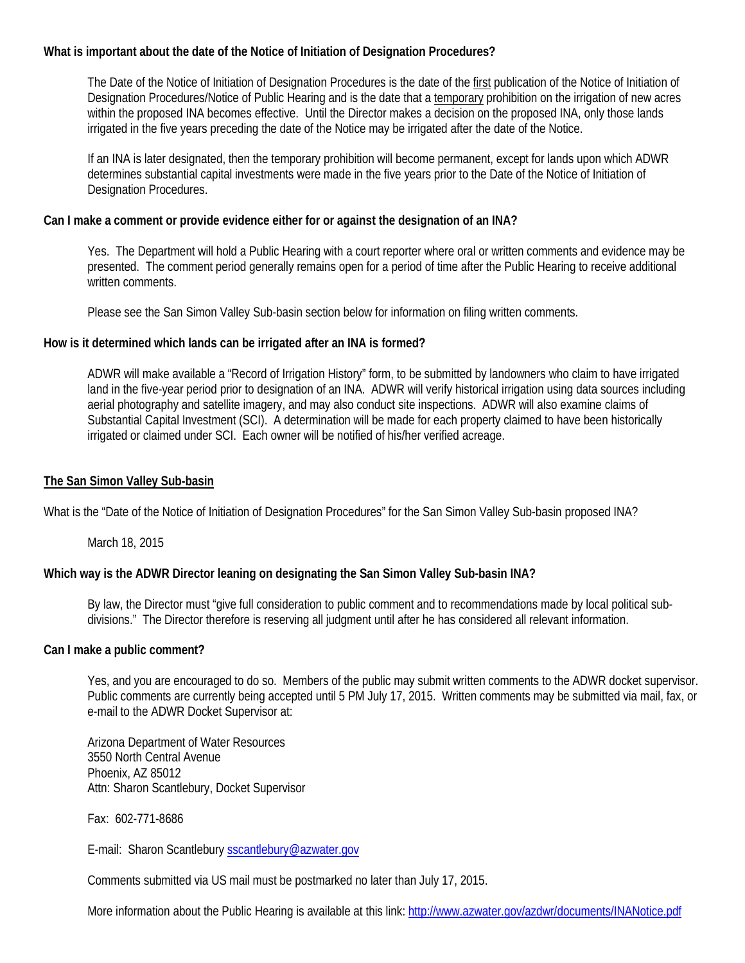#### **What is important about the date of the Notice of Initiation of Designation Procedures?**

The Date of the Notice of Initiation of Designation Procedures is the date of the first publication of the Notice of Initiation of Designation Procedures/Notice of Public Hearing and is the date that a temporary prohibition on the irrigation of new acres within the proposed INA becomes effective. Until the Director makes a decision on the proposed INA, only those lands irrigated in the five years preceding the date of the Notice may be irrigated after the date of the Notice.

If an INA is later designated, then the temporary prohibition will become permanent, except for lands upon which ADWR determines substantial capital investments were made in the five years prior to the Date of the Notice of Initiation of Designation Procedures.

#### **Can I make a comment or provide evidence either for or against the designation of an INA?**

Yes. The Department will hold a Public Hearing with a court reporter where oral or written comments and evidence may be presented. The comment period generally remains open for a period of time after the Public Hearing to receive additional written comments.

Please see the San Simon Valley Sub-basin section below for information on filing written comments.

#### **How is it determined which lands can be irrigated after an INA is formed?**

ADWR will make available a "Record of Irrigation History" form, to be submitted by landowners who claim to have irrigated land in the five-year period prior to designation of an INA. ADWR will verify historical irrigation using data sources including aerial photography and satellite imagery, and may also conduct site inspections. ADWR will also examine claims of Substantial Capital Investment (SCI). A determination will be made for each property claimed to have been historically irrigated or claimed under SCI. Each owner will be notified of his/her verified acreage.

#### **The San Simon Valley Sub-basin**

What is the "Date of the Notice of Initiation of Designation Procedures" for the San Simon Valley Sub-basin proposed INA?

March 18, 2015

### **Which way is the ADWR Director leaning on designating the San Simon Valley Sub-basin INA?**

By law, the Director must "give full consideration to public comment and to recommendations made by local political subdivisions." The Director therefore is reserving all judgment until after he has considered all relevant information.

#### **Can I make a public comment?**

Yes, and you are encouraged to do so. Members of the public may submit written comments to the ADWR docket supervisor. Public comments are currently being accepted until 5 PM July 17, 2015. Written comments may be submitted via mail, fax, or e-mail to the ADWR Docket Supervisor at:

Arizona Department of Water Resources 3550 North Central Avenue Phoenix, AZ 85012 Attn: Sharon Scantlebury, Docket Supervisor

Fax: 602-771-8686

E-mail: Sharon Scantlebury [sscantlebury@azwater.gov](mailto:sscantlebury@azwater.gov)

Comments submitted via US mail must be postmarked no later than July 17, 2015.

More information about the Public Hearing is available at this link:<http://www.azwater.gov/azdwr/documents/INANotice.pdf>